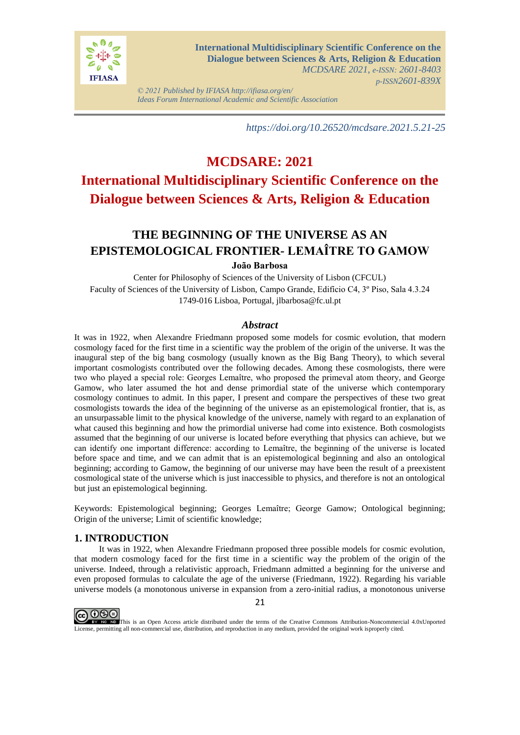

*© 2021 Published by IFIASA http://ifiasa.org/en/ Ideas Forum International Academic and Scientific Association*

*https://doi.org/10.26520/mcdsare.2021.5.21-25*

# **MCDSARE: 2021**

# **International Multidisciplinary Scientific Conference on the Dialogue between Sciences & Arts, Religion & Education**

## **THE BEGINNING OF THE UNIVERSE AS AN EPISTEMOLOGICAL FRONTIER- LEMAÎTRE TO GAMOW**

#### **João Barbosa**

Center for Philosophy of Sciences of the University of Lisbon (CFCUL) Faculty of Sciences of the University of Lisbon, Campo Grande, Edifício C4, 3º Piso, Sala 4.3.24 1749-016 Lisboa, Portugal, jlbarbosa@fc.ul.pt

#### *Abstract*

It was in 1922, when Alexandre Friedmann proposed some models for cosmic evolution, that modern cosmology faced for the first time in a scientific way the problem of the origin of the universe. It was the inaugural step of the big bang cosmology (usually known as the Big Bang Theory), to which several important cosmologists contributed over the following decades. Among these cosmologists, there were two who played a special role: Georges Lemaître, who proposed the primeval atom theory, and George Gamow, who later assumed the hot and dense primordial state of the universe which contemporary cosmology continues to admit. In this paper, I present and compare the perspectives of these two great cosmologists towards the idea of the beginning of the universe as an epistemological frontier, that is, as an unsurpassable limit to the physical knowledge of the universe, namely with regard to an explanation of what caused this beginning and how the primordial universe had come into existence. Both cosmologists assumed that the beginning of our universe is located before everything that physics can achieve, but we can identify one important difference: according to Lemaître, the beginning of the universe is located before space and time, and we can admit that is an epistemological beginning and also an ontological beginning; according to Gamow, the beginning of our universe may have been the result of a preexistent cosmological state of the universe which is just inaccessible to physics, and therefore is not an ontological but just an epistemological beginning.

Keywords: Epistemological beginning; Georges Lemaître; George Gamow; Ontological beginning; Origin of the universe; Limit of scientific knowledge;

#### **1. INTRODUCTION**

It was in 1922, when Alexandre Friedmann proposed three possible models for cosmic evolution, that modern cosmology faced for the first time in a scientific way the problem of the origin of the universe. Indeed, through a relativistic approach, Friedmann admitted a beginning for the universe and even proposed formulas to calculate the age of the universe (Friedmann, 1922). Regarding his variable universe models (a monotonous universe in expansion from a zero-initial radius, a monotonous universe



**COOO** License, permitting all non-commercial use, distribution, and reproduction in any medium, provided the original work isproperly cited.

21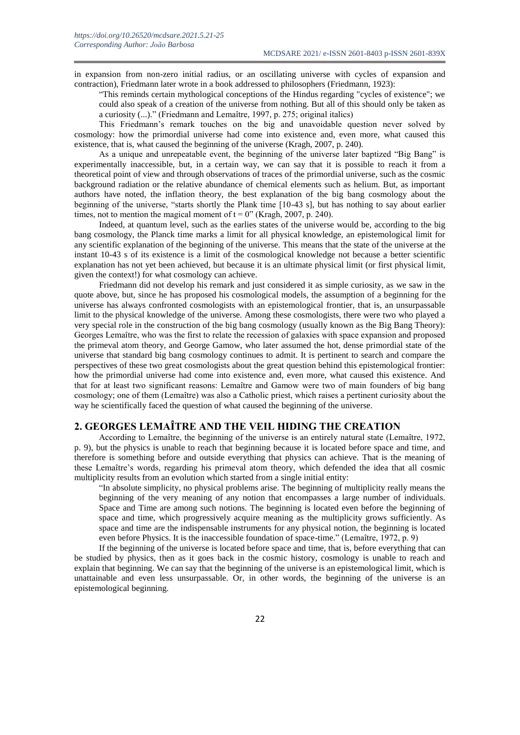in expansion from non-zero initial radius, or an oscillating universe with cycles of expansion and contraction), Friedmann later wrote in a book addressed to philosophers (Friedmann, 1923):

"This reminds certain mythological conceptions of the Hindus regarding "cycles of existence"; we could also speak of a creation of the universe from nothing. But all of this should only be taken as a curiosity (...)." (Friedmann and Lemaître, 1997, p. 275; original italics)

This Friedmann's remark touches on the big and unavoidable question never solved by cosmology: how the primordial universe had come into existence and, even more, what caused this existence, that is, what caused the beginning of the universe (Kragh, 2007, p. 240).

As a unique and unrepeatable event, the beginning of the universe later baptized "Big Bang" is experimentally inaccessible, but, in a certain way, we can say that it is possible to reach it from a theoretical point of view and through observations of traces of the primordial universe, such as the cosmic background radiation or the relative abundance of chemical elements such as helium. But, as important authors have noted, the inflation theory, the best explanation of the big bang cosmology about the beginning of the universe, "starts shortly the Plank time [10-43 s], but has nothing to say about earlier times, not to mention the magical moment of  $t = 0$ " (Kragh, 2007, p. 240).

Indeed, at quantum level, such as the earlies states of the universe would be, according to the big bang cosmology, the Planck time marks a limit for all physical knowledge, an epistemological limit for any scientific explanation of the beginning of the universe. This means that the state of the universe at the instant 10-43 s of its existence is a limit of the cosmological knowledge not because a better scientific explanation has not yet been achieved, but because it is an ultimate physical limit (or first physical limit, given the context!) for what cosmology can achieve.

Friedmann did not develop his remark and just considered it as simple curiosity, as we saw in the quote above, but, since he has proposed his cosmological models, the assumption of a beginning for the universe has always confronted cosmologists with an epistemological frontier, that is, an unsurpassable limit to the physical knowledge of the universe. Among these cosmologists, there were two who played a very special role in the construction of the big bang cosmology (usually known as the Big Bang Theory): Georges Lemaître, who was the first to relate the recession of galaxies with space expansion and proposed the primeval atom theory, and George Gamow, who later assumed the hot, dense primordial state of the universe that standard big bang cosmology continues to admit. It is pertinent to search and compare the perspectives of these two great cosmologists about the great question behind this epistemological frontier: how the primordial universe had come into existence and, even more, what caused this existence. And that for at least two significant reasons: Lemaître and Gamow were two of main founders of big bang cosmology; one of them (Lemaître) was also a Catholic priest, which raises a pertinent curiosity about the way he scientifically faced the question of what caused the beginning of the universe.

#### **2. GEORGES LEMAÎTRE AND THE VEIL HIDING THE CREATION**

According to Lemaître, the beginning of the universe is an entirely natural state (Lemaître, 1972, p. 9), but the physics is unable to reach that beginning because it is located before space and time, and therefore is something before and outside everything that physics can achieve. That is the meaning of these Lemaître's words, regarding his primeval atom theory, which defended the idea that all cosmic multiplicity results from an evolution which started from a single initial entity:

"In absolute simplicity, no physical problems arise. The beginning of multiplicity really means the beginning of the very meaning of any notion that encompasses a large number of individuals. Space and Time are among such notions. The beginning is located even before the beginning of space and time, which progressively acquire meaning as the multiplicity grows sufficiently. As space and time are the indispensable instruments for any physical notion, the beginning is located even before Physics. It is the inaccessible foundation of space-time." (Lemaître, 1972, p. 9)

If the beginning of the universe is located before space and time, that is, before everything that can be studied by physics, then as it goes back in the cosmic history, cosmology is unable to reach and explain that beginning. We can say that the beginning of the universe is an epistemological limit, which is unattainable and even less unsurpassable. Or, in other words, the beginning of the universe is an epistemological beginning.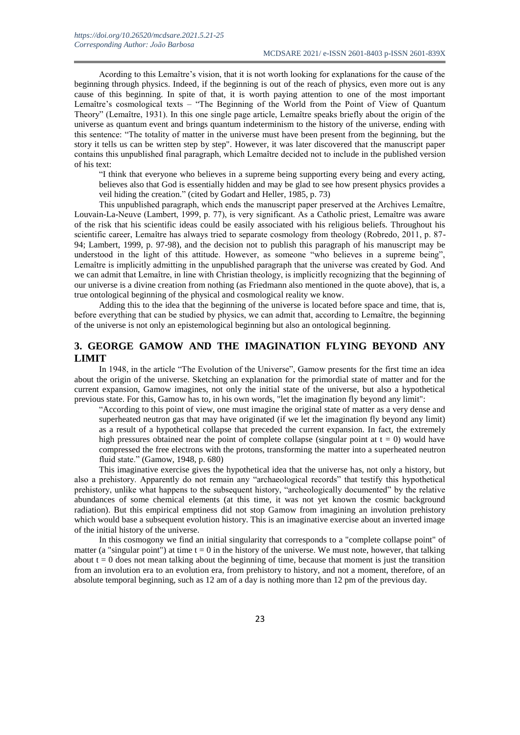Acording to this Lemaître's vision, that it is not worth looking for explanations for the cause of the beginning through physics. Indeed, if the beginning is out of the reach of physics, even more out is any cause of this beginning. In spite of that, it is worth paying attention to one of the most important Lemaître's cosmological texts – "The Beginning of the World from the Point of View of Quantum Theory" (Lemaître, 1931). In this one single page article, Lemaître speaks briefly about the origin of the universe as quantum event and brings quantum indeterminism to the history of the universe, ending with this sentence: "The totality of matter in the universe must have been present from the beginning, but the story it tells us can be written step by step". However, it was later discovered that the manuscript paper contains this unpublished final paragraph, which Lemaître decided not to include in the published version of his text:

"I think that everyone who believes in a supreme being supporting every being and every acting, believes also that God is essentially hidden and may be glad to see how present physics provides a veil hiding the creation." (cited by Godart and Heller, 1985, p. 73)

This unpublished paragraph, which ends the manuscript paper preserved at the Archives Lemaître, Louvain-La-Neuve (Lambert, 1999, p. 77), is very significant. As a Catholic priest, Lemaître was aware of the risk that his scientific ideas could be easily associated with his religious beliefs. Throughout his scientific career, Lemaître has always tried to separate cosmology from theology (Robredo, 2011, p. 87- 94; Lambert, 1999, p. 97-98), and the decision not to publish this paragraph of his manuscript may be understood in the light of this attitude. However, as someone "who believes in a supreme being", Lemaître is implicitly admitting in the unpublished paragraph that the universe was created by God. And we can admit that Lemaître, in line with Christian theology, is implicitly recognizing that the beginning of our universe is a divine creation from nothing (as Friedmann also mentioned in the quote above), that is, a true ontological beginning of the physical and cosmological reality we know.

Adding this to the idea that the beginning of the universe is located before space and time, that is, before everything that can be studied by physics, we can admit that, according to Lemaître, the beginning of the universe is not only an epistemological beginning but also an ontological beginning.

## **3. GEORGE GAMOW AND THE IMAGINATION FLYING BEYOND ANY LIMIT**

In 1948, in the article "The Evolution of the Universe", Gamow presents for the first time an idea about the origin of the universe. Sketching an explanation for the primordial state of matter and for the current expansion, Gamow imagines, not only the initial state of the universe, but also a hypothetical previous state. For this, Gamow has to, in his own words, "let the imagination fly beyond any limit":

"According to this point of view, one must imagine the original state of matter as a very dense and superheated neutron gas that may have originated (if we let the imagination fly beyond any limit) as a result of a hypothetical collapse that preceded the current expansion. In fact, the extremely high pressures obtained near the point of complete collapse (singular point at  $t = 0$ ) would have compressed the free electrons with the protons, transforming the matter into a superheated neutron fluid state." (Gamow, 1948, p. 680)

This imaginative exercise gives the hypothetical idea that the universe has, not only a history, but also a prehistory. Apparently do not remain any "archaeological records" that testify this hypothetical prehistory, unlike what happens to the subsequent history, "archeologically documented" by the relative abundances of some chemical elements (at this time, it was not yet known the cosmic background radiation). But this empirical emptiness did not stop Gamow from imagining an involution prehistory which would base a subsequent evolution history. This is an imaginative exercise about an inverted image of the initial history of the universe.

In this cosmogony we find an initial singularity that corresponds to a "complete collapse point" of matter (a "singular point") at time  $t = 0$  in the history of the universe. We must note, however, that talking about  $t = 0$  does not mean talking about the beginning of time, because that moment is just the transition from an involution era to an evolution era, from prehistory to history, and not a moment, therefore, of an absolute temporal beginning, such as 12 am of a day is nothing more than 12 pm of the previous day.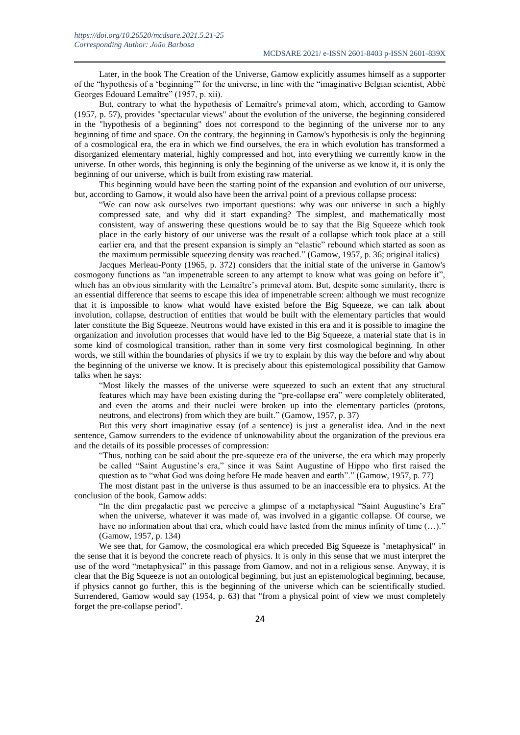Later, in the book The Creation of the Universe, Gamow explicitly assumes himself as a supporter of the "hypothesis of a 'beginning'" for the universe, in line with the "imaginative Belgian scientist, Abbé Georges Edouard Lemaître" (1957, p. xii).

But, contrary to what the hypothesis of Lemaître's primeval atom, which, according to Gamow (1957, p. 57), provides "spectacular views" about the evolution of the universe, the beginning considered in the "hypothesis of a beginning" does not correspond to the beginning of the universe nor to any beginning of time and space. On the contrary, the beginning in Gamow's hypothesis is only the beginning of a cosmological era, the era in which we find ourselves, the era in which evolution has transformed a disorganized elementary material, highly compressed and hot, into everything we currently know in the universe. In other words, this beginning is only the beginning of the universe as we know it, it is only the beginning of our universe, which is built from existing raw material.

This beginning would have been the starting point of the expansion and evolution of our universe, but, according to Gamow, it would also have been the arrival point of a previous collapse process:

"We can now ask ourselves two important questions: why was our universe in such a highly compressed sate, and why did it start expanding? The simplest, and mathematically most consistent, way of answering these questions would be to say that the Big Squeeze which took place in the early history of our universe was the result of a collapse which took place at a still earlier era, and that the present expansion is simply an "elastic" rebound which started as soon as the maximum permissible squeezing density was reached." (Gamow, 1957, p. 36; original italics)

Jacques Merleau-Ponty (1965, p. 372) considers that the initial state of the universe in Gamow's cosmogony functions as "an impenetrable screen to any attempt to know what was going on before it", which has an obvious similarity with the Lemaître's primeval atom. But, despite some similarity, there is an essential difference that seems to escape this idea of impenetrable screen: although we must recognize that it is impossible to know what would have existed before the Big Squeeze, we can talk about involution, collapse, destruction of entities that would be built with the elementary particles that would later constitute the Big Squeeze. Neutrons would have existed in this era and it is possible to imagine the organization and involution processes that would have led to the Big Squeeze, a material state that is in some kind of cosmological transition, rather than in some very first cosmological beginning. In other words, we still within the boundaries of physics if we try to explain by this way the before and why about the beginning of the universe we know. It is precisely about this epistemological possibility that Gamow talks when he says:

"Most likely the masses of the universe were squeezed to such an extent that any structural features which may have been existing during the "pre-collapse era" were completely obliterated, and even the atoms and their nuclei were broken up into the elementary particles (protons, neutrons, and electrons) from which they are built." (Gamow, 1957, p. 37)

But this very short imaginative essay (of a sentence) is just a generalist idea. And in the next sentence, Gamow surrenders to the evidence of unknowability about the organization of the previous era and the details of its possible processes of compression:

"Thus, nothing can be said about the pre-squeeze era of the universe, the era which may properly be called "Saint Augustine's era," since it was Saint Augustine of Hippo who first raised the question as to "what God was doing before He made heaven and earth"." (Gamow, 1957, p. 77)

The most distant past in the universe is thus assumed to be an inaccessible era to physics. At the conclusion of the book, Gamow adds:

"In the dim pregalactic past we perceive a glimpse of a metaphysical "Saint Augustine's Era" when the universe, whatever it was made of, was involved in a gigantic collapse. Of course, we have no information about that era, which could have lasted from the minus infinity of time  $(\ldots)$ ." (Gamow, 1957, p. 134)

We see that, for Gamow, the cosmological era which preceded Big Squeeze is "metaphysical" in the sense that it is beyond the concrete reach of physics. It is only in this sense that we must interpret the use of the word "metaphysical" in this passage from Gamow, and not in a religious sense. Anyway, it is clear that the Big Squeeze is not an ontological beginning, but just an epistemological beginning, because, if physics cannot go further, this is the beginning of the universe which can be scientifically studied. Surrendered, Gamow would say (1954, p. 63) that "from a physical point of view we must completely forget the pre-collapse period".